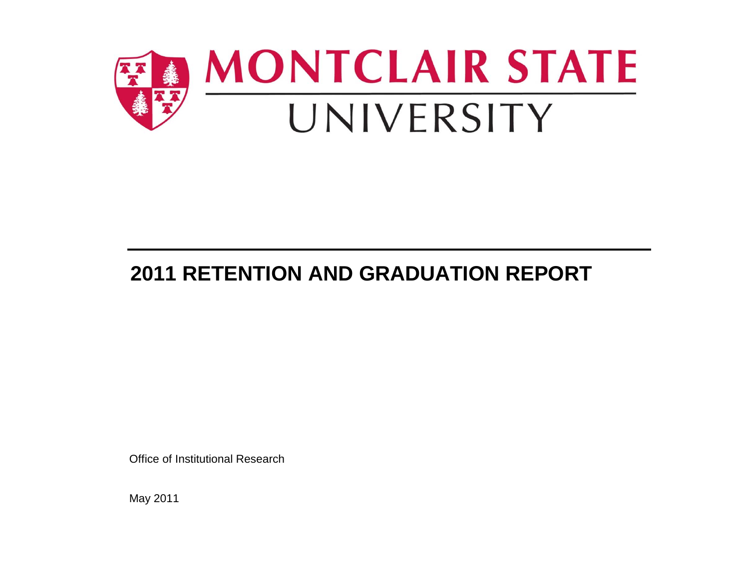

# **2011 RETENTION AND GRADUATION REPORT**

Office of Institutional Research

May 2011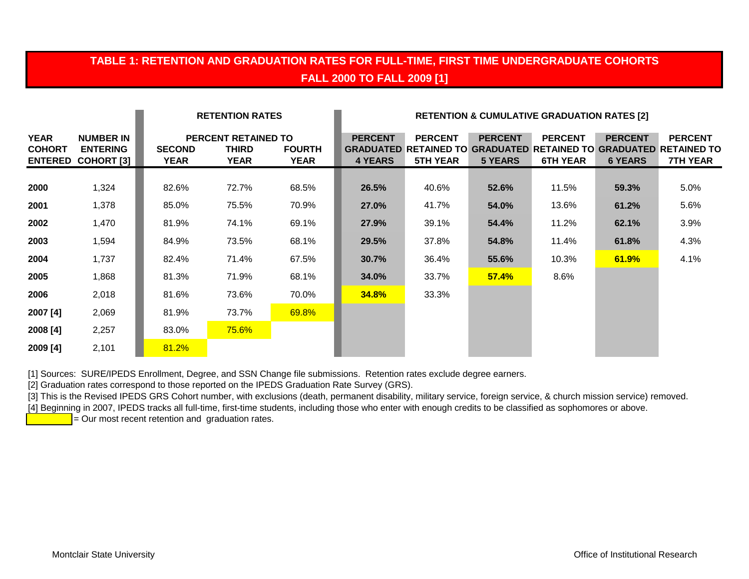## **TABLE 1: RETENTION AND GRADUATION RATES FOR FULL-TIME, FIRST TIME UNDERGRADUATE COHORTS FALL 2000 TO FALL 2009 [1]**

|                              |                                                                  |                       | <b>RETENTION RATES</b>                             |                              | <b>RETENTION &amp; CUMULATIVE GRADUATION RATES [2]</b> |                                   |                                                                                                  |                                   |                                  |                                                         |
|------------------------------|------------------------------------------------------------------|-----------------------|----------------------------------------------------|------------------------------|--------------------------------------------------------|-----------------------------------|--------------------------------------------------------------------------------------------------|-----------------------------------|----------------------------------|---------------------------------------------------------|
| <b>YEAR</b><br><b>COHORT</b> | <b>NUMBER IN</b><br><b>ENTERING</b><br><b>ENTERED COHORT [3]</b> | <b>SECOND</b><br>YEAR | <b>PERCENT RETAINED TO</b><br>THIRD<br><b>YEAR</b> | <b>FOURTH</b><br><b>YEAR</b> | <b>PERCENT</b><br><b>4 YEARS</b>                       | <b>PERCENT</b><br><b>5TH YEAR</b> | <b>PERCENT</b><br><b>GRADUATED RETAINED TO GRADUATED RETAINED TO GRADUATED</b><br><b>5 YEARS</b> | <b>PERCENT</b><br><b>6TH YEAR</b> | <b>PERCENT</b><br><b>6 YEARS</b> | <b>PERCENT</b><br><b>RETAINED TO</b><br><b>7TH YEAR</b> |
| 2000                         | 1,324                                                            | 82.6%                 | 72.7%                                              | 68.5%                        | 26.5%                                                  | 40.6%                             | 52.6%                                                                                            | 11.5%                             | 59.3%                            | 5.0%                                                    |
| 2001                         | 1,378                                                            | 85.0%                 | 75.5%                                              | 70.9%                        | 27.0%                                                  | 41.7%                             | 54.0%                                                                                            | 13.6%                             | 61.2%                            | 5.6%                                                    |
| 2002                         | 1,470                                                            | 81.9%                 | 74.1%                                              | 69.1%                        | 27.9%                                                  | 39.1%                             | 54.4%                                                                                            | 11.2%                             | 62.1%                            | 3.9%                                                    |
| 2003                         | 1,594                                                            | 84.9%                 | 73.5%                                              | 68.1%                        | 29.5%                                                  | 37.8%                             | 54.8%                                                                                            | 11.4%                             | 61.8%                            | 4.3%                                                    |
| 2004                         | 1,737                                                            | 82.4%                 | 71.4%                                              | 67.5%                        | 30.7%                                                  | 36.4%                             | 55.6%                                                                                            | 10.3%                             | 61.9%                            | 4.1%                                                    |
| 2005                         | 1,868                                                            | 81.3%                 | 71.9%                                              | 68.1%                        | 34.0%                                                  | 33.7%                             | 57.4%                                                                                            | 8.6%                              |                                  |                                                         |
| 2006                         | 2,018                                                            | 81.6%                 | 73.6%                                              | 70.0%                        | <b>34.8%</b>                                           | 33.3%                             |                                                                                                  |                                   |                                  |                                                         |
| 2007 [4]                     | 2,069                                                            | 81.9%                 | 73.7%                                              | 69.8%                        |                                                        |                                   |                                                                                                  |                                   |                                  |                                                         |
| 2008 [4]                     | 2,257                                                            | 83.0%                 | 75.6%                                              |                              |                                                        |                                   |                                                                                                  |                                   |                                  |                                                         |
| 2009 [4]                     | 2,101                                                            | 81.2%                 |                                                    |                              |                                                        |                                   |                                                                                                  |                                   |                                  |                                                         |

[1] Sources: SURE/IPEDS Enrollment, Degree, and SSN Change file submissions. Retention rates exclude degree earners.

[2] Graduation rates correspond to those reported on the IPEDS Graduation Rate Survey (GRS).

[3] This is the Revised IPEDS GRS Cohort number, with exclusions (death, permanent disability, military service, foreign service, & church mission service) removed.

[4] Beginning in 2007, IPEDS tracks all full-time, first-time students, including those who enter with enough credits to be classified as sophomores or above.

= Our most recent retention and graduation rates.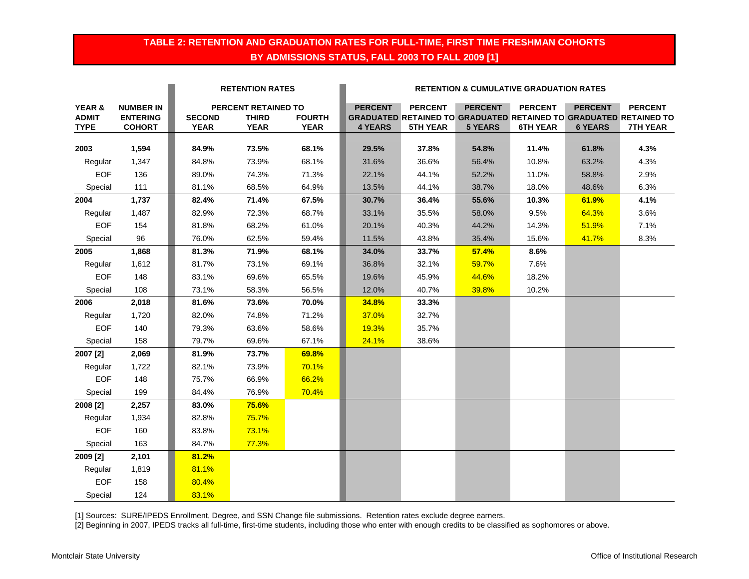### **TABLE 2: RETENTION AND GRADUATION RATES FOR FULL-TIME, FIRST TIME FRESHMAN COHORTS BY ADMISSIONS STATUS, FALL 2003 TO FALL 2009 [1]**

|              |                  | <b>RETENTION RATES</b> |                     |               | <b>RETENTION &amp; CUMULATIVE GRADUATION RATES</b> |                 |                |                 |                |                                                                          |  |
|--------------|------------------|------------------------|---------------------|---------------|----------------------------------------------------|-----------------|----------------|-----------------|----------------|--------------------------------------------------------------------------|--|
| YEAR &       | <b>NUMBER IN</b> |                        | PERCENT RETAINED TO |               | <b>PERCENT</b>                                     | <b>PERCENT</b>  | <b>PERCENT</b> | <b>PERCENT</b>  | <b>PERCENT</b> | <b>PERCENT</b>                                                           |  |
| <b>ADMIT</b> | <b>ENTERING</b>  | <b>SECOND</b>          | <b>THIRD</b>        | <b>FOURTH</b> |                                                    |                 |                |                 |                | <b>GRADUATED RETAINED TO GRADUATED RETAINED TO GRADUATED RETAINED TO</b> |  |
| <b>TYPE</b>  | <b>COHORT</b>    | <b>YEAR</b>            | <b>YEAR</b>         | <b>YEAR</b>   | <b>4 YEARS</b>                                     | <b>5TH YEAR</b> | <b>5 YEARS</b> | <b>6TH YEAR</b> | <b>6 YEARS</b> | <b>7TH YEAR</b>                                                          |  |
| 2003         | 1,594            | 84.9%                  | 73.5%               | 68.1%         | 29.5%                                              | 37.8%           | 54.8%          | 11.4%           | 61.8%          | 4.3%                                                                     |  |
| Regular      | 1,347            | 84.8%                  | 73.9%               | 68.1%         | 31.6%                                              | 36.6%           | 56.4%          | 10.8%           | 63.2%          | 4.3%                                                                     |  |
| <b>EOF</b>   | 136              | 89.0%                  | 74.3%               | 71.3%         | 22.1%                                              | 44.1%           | 52.2%          | 11.0%           | 58.8%          | 2.9%                                                                     |  |
| Special      | 111              | 81.1%                  | 68.5%               | 64.9%         | 13.5%                                              | 44.1%           | 38.7%          | 18.0%           | 48.6%          | 6.3%                                                                     |  |
| 2004         | 1,737            | 82.4%                  | 71.4%               | 67.5%         | 30.7%                                              | 36.4%           | 55.6%          | 10.3%           | 61.9%          | 4.1%                                                                     |  |
| Regular      | 1,487            | 82.9%                  | 72.3%               | 68.7%         | 33.1%                                              | 35.5%           | 58.0%          | 9.5%            | 64.3%          | 3.6%                                                                     |  |
| <b>EOF</b>   | 154              | 81.8%                  | 68.2%               | 61.0%         | 20.1%                                              | 40.3%           | 44.2%          | 14.3%           | 51.9%          | 7.1%                                                                     |  |
| Special      | 96               | 76.0%                  | 62.5%               | 59.4%         | 11.5%                                              | 43.8%           | 35.4%          | 15.6%           | 41.7%          | 8.3%                                                                     |  |
| 2005         | 1,868            | 81.3%                  | 71.9%               | 68.1%         | 34.0%                                              | 33.7%           | 57.4%          | 8.6%            |                |                                                                          |  |
| Regular      | 1,612            | 81.7%                  | 73.1%               | 69.1%         | 36.8%                                              | 32.1%           | 59.7%          | 7.6%            |                |                                                                          |  |
| <b>EOF</b>   | 148              | 83.1%                  | 69.6%               | 65.5%         | 19.6%                                              | 45.9%           | 44.6%          | 18.2%           |                |                                                                          |  |
| Special      | 108              | 73.1%                  | 58.3%               | 56.5%         | 12.0%                                              | 40.7%           | 39.8%          | 10.2%           |                |                                                                          |  |
| 2006         | 2,018            | 81.6%                  | 73.6%               | 70.0%         | 34.8%                                              | 33.3%           |                |                 |                |                                                                          |  |
| Regular      | 1,720            | 82.0%                  | 74.8%               | 71.2%         | 37.0%                                              | 32.7%           |                |                 |                |                                                                          |  |
| <b>EOF</b>   | 140              | 79.3%                  | 63.6%               | 58.6%         | 19.3%                                              | 35.7%           |                |                 |                |                                                                          |  |
| Special      | 158              | 79.7%                  | 69.6%               | 67.1%         | 24.1%                                              | 38.6%           |                |                 |                |                                                                          |  |
| 2007 [2]     | 2,069            | 81.9%                  | 73.7%               | 69.8%         |                                                    |                 |                |                 |                |                                                                          |  |
| Regular      | 1,722            | 82.1%                  | 73.9%               | 70.1%         |                                                    |                 |                |                 |                |                                                                          |  |
| <b>EOF</b>   | 148              | 75.7%                  | 66.9%               | 66.2%         |                                                    |                 |                |                 |                |                                                                          |  |
| Special      | 199              | 84.4%                  | 76.9%               | 70.4%         |                                                    |                 |                |                 |                |                                                                          |  |
| 2008 [2]     | 2,257            | 83.0%                  | 75.6%               |               |                                                    |                 |                |                 |                |                                                                          |  |
| Regular      | 1,934            | 82.8%                  | 75.7%               |               |                                                    |                 |                |                 |                |                                                                          |  |
| <b>EOF</b>   | 160              | 83.8%                  | 73.1%               |               |                                                    |                 |                |                 |                |                                                                          |  |
| Special      | 163              | 84.7%                  | 77.3%               |               |                                                    |                 |                |                 |                |                                                                          |  |
| 2009 [2]     | 2,101            | 81.2%                  |                     |               |                                                    |                 |                |                 |                |                                                                          |  |
| Regular      | 1,819            | 81.1%                  |                     |               |                                                    |                 |                |                 |                |                                                                          |  |
| <b>EOF</b>   | 158              | 80.4%                  |                     |               |                                                    |                 |                |                 |                |                                                                          |  |
| Special      | 124              | 83.1%                  |                     |               |                                                    |                 |                |                 |                |                                                                          |  |

[1] Sources: SURE/IPEDS Enrollment, Degree, and SSN Change file submissions. Retention rates exclude degree earners.

[2] Beginning in 2007, IPEDS tracks all full-time, first-time students, including those who enter with enough credits to be classified as sophomores or above.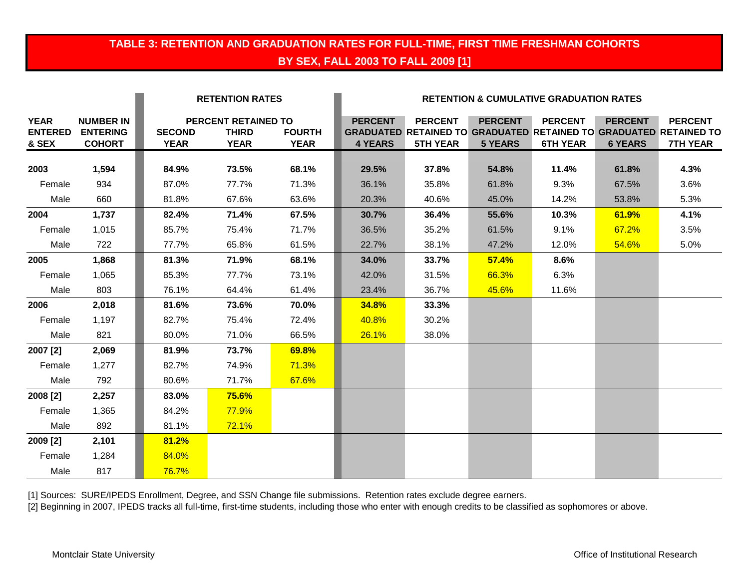# **TABLE 3: RETENTION AND GRADUATION RATES FOR FULL-TIME, FIRST TIME FRESHMAN COHORTS BY SEX, FALL 2003 TO FALL 2009 [1]**

|                                        |                                                      | <b>RETENTION RATES</b>       |                                                    |                              | <b>RETENTION &amp; CUMULATIVE GRADUATION RATES</b> |                                   |                                  |                                   |                                  |                                                                                                               |
|----------------------------------------|------------------------------------------------------|------------------------------|----------------------------------------------------|------------------------------|----------------------------------------------------|-----------------------------------|----------------------------------|-----------------------------------|----------------------------------|---------------------------------------------------------------------------------------------------------------|
| <b>YEAR</b><br><b>ENTERED</b><br>& SEX | <b>NUMBER IN</b><br><b>ENTERING</b><br><b>COHORT</b> | <b>SECOND</b><br><b>YEAR</b> | PERCENT RETAINED TO<br><b>THIRD</b><br><b>YEAR</b> | <b>FOURTH</b><br><b>YEAR</b> | <b>PERCENT</b><br><b>4 YEARS</b>                   | <b>PERCENT</b><br><b>5TH YEAR</b> | <b>PERCENT</b><br><b>5 YEARS</b> | <b>PERCENT</b><br><b>6TH YEAR</b> | <b>PERCENT</b><br><b>6 YEARS</b> | <b>PERCENT</b><br><b>GRADUATED RETAINED TO GRADUATED RETAINED TO GRADUATED RETAINED TO</b><br><b>7TH YEAR</b> |
| 2003                                   | 1,594                                                | 84.9%                        | 73.5%                                              | 68.1%                        | 29.5%                                              | 37.8%                             | 54.8%                            | 11.4%                             | 61.8%                            | 4.3%                                                                                                          |
| Female                                 | 934                                                  | 87.0%                        | 77.7%                                              | 71.3%                        | 36.1%                                              | 35.8%                             | 61.8%                            | 9.3%                              | 67.5%                            | 3.6%                                                                                                          |
| Male                                   | 660                                                  | 81.8%                        | 67.6%                                              | 63.6%                        | 20.3%                                              | 40.6%                             | 45.0%                            | 14.2%                             | 53.8%                            | 5.3%                                                                                                          |
| 2004                                   | 1,737                                                | 82.4%                        | 71.4%                                              | 67.5%                        | 30.7%                                              | 36.4%                             | 55.6%                            | 10.3%                             | 61.9%                            | 4.1%                                                                                                          |
| Female                                 | 1,015                                                | 85.7%                        | 75.4%                                              | 71.7%                        | 36.5%                                              | 35.2%                             | 61.5%                            | 9.1%                              | 67.2%                            | 3.5%                                                                                                          |
| Male                                   | 722                                                  | 77.7%                        | 65.8%                                              | 61.5%                        | 22.7%                                              | 38.1%                             | 47.2%                            | 12.0%                             | 54.6%                            | 5.0%                                                                                                          |
| 2005                                   | 1,868                                                | 81.3%                        | 71.9%                                              | 68.1%                        | 34.0%                                              | 33.7%                             | <b>57.4%</b>                     | 8.6%                              |                                  |                                                                                                               |
| Female                                 | 1,065                                                | 85.3%                        | 77.7%                                              | 73.1%                        | 42.0%                                              | 31.5%                             | 66.3%                            | 6.3%                              |                                  |                                                                                                               |
| Male                                   | 803                                                  | 76.1%                        | 64.4%                                              | 61.4%                        | 23.4%                                              | 36.7%                             | 45.6%                            | 11.6%                             |                                  |                                                                                                               |
| 2006                                   | 2,018                                                | 81.6%                        | 73.6%                                              | 70.0%                        | <b>34.8%</b>                                       | 33.3%                             |                                  |                                   |                                  |                                                                                                               |
| Female                                 | 1,197                                                | 82.7%                        | 75.4%                                              | 72.4%                        | 40.8%                                              | 30.2%                             |                                  |                                   |                                  |                                                                                                               |
| Male                                   | 821                                                  | 80.0%                        | 71.0%                                              | 66.5%                        | 26.1%                                              | 38.0%                             |                                  |                                   |                                  |                                                                                                               |
| 2007 [2]                               | 2,069                                                | 81.9%                        | 73.7%                                              | 69.8%                        |                                                    |                                   |                                  |                                   |                                  |                                                                                                               |
| Female                                 | 1,277                                                | 82.7%                        | 74.9%                                              | 71.3%                        |                                                    |                                   |                                  |                                   |                                  |                                                                                                               |
| Male                                   | 792                                                  | 80.6%                        | 71.7%                                              | 67.6%                        |                                                    |                                   |                                  |                                   |                                  |                                                                                                               |
| 2008 [2]                               | 2,257                                                | 83.0%                        | 75.6%                                              |                              |                                                    |                                   |                                  |                                   |                                  |                                                                                                               |
| Female                                 | 1,365                                                | 84.2%                        | 77.9%                                              |                              |                                                    |                                   |                                  |                                   |                                  |                                                                                                               |
| Male                                   | 892                                                  | 81.1%                        | 72.1%                                              |                              |                                                    |                                   |                                  |                                   |                                  |                                                                                                               |
| 2009 [2]                               | 2,101                                                | 81.2%                        |                                                    |                              |                                                    |                                   |                                  |                                   |                                  |                                                                                                               |
| Female                                 | 1,284                                                | 84.0%                        |                                                    |                              |                                                    |                                   |                                  |                                   |                                  |                                                                                                               |
| Male                                   | 817                                                  | 76.7%                        |                                                    |                              |                                                    |                                   |                                  |                                   |                                  |                                                                                                               |

[1] Sources: SURE/IPEDS Enrollment, Degree, and SSN Change file submissions. Retention rates exclude degree earners.

[2] Beginning in 2007, IPEDS tracks all full-time, first-time students, including those who enter with enough credits to be classified as sophomores or above.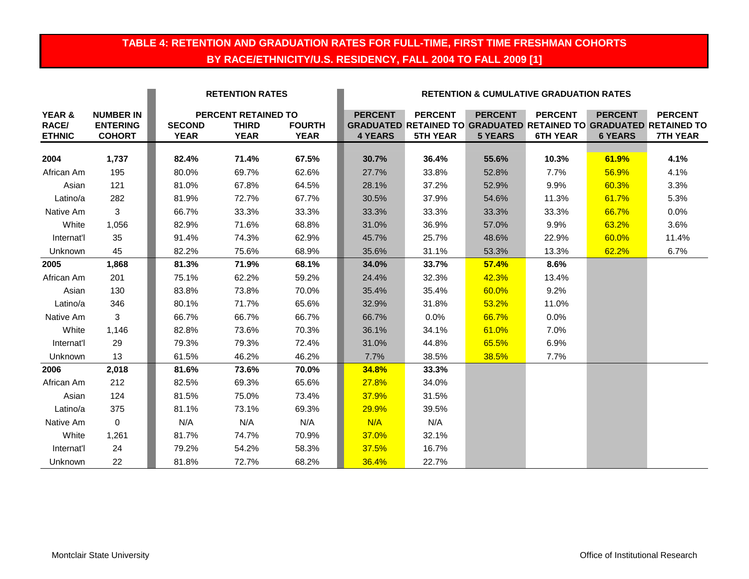## **TABLE 4: RETENTION AND GRADUATION RATES FOR FULL-TIME, FIRST TIME FRESHMAN COHORTS BY RACE/ETHNICITY/U.S. RESIDENCY, FALL 2004 TO FALL 2009 [1]**

|                                  |                                                      |                              | <b>RETENTION RATES</b>                                    |                              | <b>RETENTION &amp; CUMULATIVE GRADUATION RATES</b> |                                   |                                  |                                   |                                  |                                                                                                               |  |
|----------------------------------|------------------------------------------------------|------------------------------|-----------------------------------------------------------|------------------------------|----------------------------------------------------|-----------------------------------|----------------------------------|-----------------------------------|----------------------------------|---------------------------------------------------------------------------------------------------------------|--|
| YEAR &<br>RACE/<br><b>ETHNIC</b> | <b>NUMBER IN</b><br><b>ENTERING</b><br><b>COHORT</b> | <b>SECOND</b><br><b>YEAR</b> | <b>PERCENT RETAINED TO</b><br><b>THIRD</b><br><b>YEAR</b> | <b>FOURTH</b><br><b>YEAR</b> | <b>PERCENT</b><br><b>4 YEARS</b>                   | <b>PERCENT</b><br><b>5TH YEAR</b> | <b>PERCENT</b><br><b>5 YEARS</b> | <b>PERCENT</b><br><b>6TH YEAR</b> | <b>PERCENT</b><br><b>6 YEARS</b> | <b>PERCENT</b><br><b>GRADUATED RETAINED TO GRADUATED RETAINED TO GRADUATED RETAINED TO</b><br><b>7TH YEAR</b> |  |
| 2004                             | 1,737                                                | 82.4%                        | 71.4%                                                     | 67.5%                        | 30.7%                                              | 36.4%                             | 55.6%                            | 10.3%                             | 61.9%                            | 4.1%                                                                                                          |  |
| African Am                       | 195                                                  | 80.0%                        | 69.7%                                                     | 62.6%                        | 27.7%                                              | 33.8%                             | 52.8%                            | 7.7%                              | 56.9%                            | 4.1%                                                                                                          |  |
| Asian                            | 121                                                  | 81.0%                        | 67.8%                                                     | 64.5%                        | 28.1%                                              | 37.2%                             | 52.9%                            | 9.9%                              | 60.3%                            | 3.3%                                                                                                          |  |
| Latino/a                         | 282                                                  | 81.9%                        | 72.7%                                                     | 67.7%                        | 30.5%                                              | 37.9%                             | 54.6%                            | 11.3%                             | 61.7%                            | 5.3%                                                                                                          |  |
| Native Am                        | 3                                                    | 66.7%                        | 33.3%                                                     | 33.3%                        | 33.3%                                              | 33.3%                             | 33.3%                            | 33.3%                             | 66.7%                            | $0.0\%$                                                                                                       |  |
| White                            | 1,056                                                | 82.9%                        | 71.6%                                                     | 68.8%                        | 31.0%                                              | 36.9%                             | 57.0%                            | 9.9%                              | 63.2%                            | 3.6%                                                                                                          |  |
| Internat'l                       | 35                                                   | 91.4%                        | 74.3%                                                     | 62.9%                        | 45.7%                                              | 25.7%                             | 48.6%                            | 22.9%                             | 60.0%                            | 11.4%                                                                                                         |  |
| Unknown                          | 45                                                   | 82.2%                        | 75.6%                                                     | 68.9%                        | 35.6%                                              | 31.1%                             | 53.3%                            | 13.3%                             | 62.2%                            | 6.7%                                                                                                          |  |
| 2005                             | 1,868                                                | 81.3%                        | 71.9%                                                     | 68.1%                        | 34.0%                                              | 33.7%                             | 57.4%                            | 8.6%                              |                                  |                                                                                                               |  |
| African Am                       | 201                                                  | 75.1%                        | 62.2%                                                     | 59.2%                        | 24.4%                                              | 32.3%                             | 42.3%                            | 13.4%                             |                                  |                                                                                                               |  |
| Asian                            | 130                                                  | 83.8%                        | 73.8%                                                     | 70.0%                        | 35.4%                                              | 35.4%                             | 60.0%                            | 9.2%                              |                                  |                                                                                                               |  |
| Latino/a                         | 346                                                  | 80.1%                        | 71.7%                                                     | 65.6%                        | 32.9%                                              | 31.8%                             | 53.2%                            | 11.0%                             |                                  |                                                                                                               |  |
| Native Am                        | 3                                                    | 66.7%                        | 66.7%                                                     | 66.7%                        | 66.7%                                              | 0.0%                              | 66.7%                            | 0.0%                              |                                  |                                                                                                               |  |
| White                            | 1,146                                                | 82.8%                        | 73.6%                                                     | 70.3%                        | 36.1%                                              | 34.1%                             | 61.0%                            | 7.0%                              |                                  |                                                                                                               |  |
| Internat'l                       | 29                                                   | 79.3%                        | 79.3%                                                     | 72.4%                        | 31.0%                                              | 44.8%                             | 65.5%                            | 6.9%                              |                                  |                                                                                                               |  |
| Unknown                          | 13                                                   | 61.5%                        | 46.2%                                                     | 46.2%                        | 7.7%                                               | 38.5%                             | 38.5%                            | 7.7%                              |                                  |                                                                                                               |  |
| 2006                             | 2,018                                                | 81.6%                        | 73.6%                                                     | 70.0%                        | 34.8%                                              | 33.3%                             |                                  |                                   |                                  |                                                                                                               |  |
| African Am                       | 212                                                  | 82.5%                        | 69.3%                                                     | 65.6%                        | 27.8%                                              | 34.0%                             |                                  |                                   |                                  |                                                                                                               |  |
| Asian                            | 124                                                  | 81.5%                        | 75.0%                                                     | 73.4%                        | 37.9%                                              | 31.5%                             |                                  |                                   |                                  |                                                                                                               |  |
| Latino/a                         | 375                                                  | 81.1%                        | 73.1%                                                     | 69.3%                        | 29.9%                                              | 39.5%                             |                                  |                                   |                                  |                                                                                                               |  |
| Native Am                        | $\mathbf{0}$                                         | N/A                          | N/A                                                       | N/A                          | N/A                                                | N/A                               |                                  |                                   |                                  |                                                                                                               |  |
| White                            | 1,261                                                | 81.7%                        | 74.7%                                                     | 70.9%                        | 37.0%                                              | 32.1%                             |                                  |                                   |                                  |                                                                                                               |  |
| Internat'l                       | 24                                                   | 79.2%                        | 54.2%                                                     | 58.3%                        | 37.5%                                              | 16.7%                             |                                  |                                   |                                  |                                                                                                               |  |
| Unknown                          | 22                                                   | 81.8%                        | 72.7%                                                     | 68.2%                        | 36.4%                                              | 22.7%                             |                                  |                                   |                                  |                                                                                                               |  |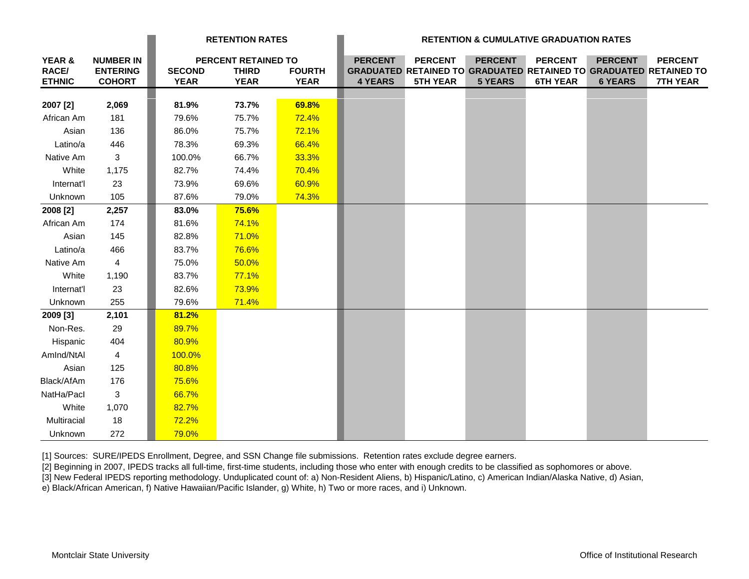|                                             |                                                      | <b>RETENTION RATES</b>       |                                                    | <b>RETENTION &amp; CUMULATIVE GRADUATION RATES</b> |                                  |                                   |                                  |                                   |                                  |                                                                                                               |
|---------------------------------------------|------------------------------------------------------|------------------------------|----------------------------------------------------|----------------------------------------------------|----------------------------------|-----------------------------------|----------------------------------|-----------------------------------|----------------------------------|---------------------------------------------------------------------------------------------------------------|
| <b>YEAR &amp;</b><br>RACE/<br><b>ETHNIC</b> | <b>NUMBER IN</b><br><b>ENTERING</b><br><b>COHORT</b> | <b>SECOND</b><br><b>YEAR</b> | PERCENT RETAINED TO<br><b>THIRD</b><br><b>YEAR</b> | <b>FOURTH</b><br><b>YEAR</b>                       | <b>PERCENT</b><br><b>4 YEARS</b> | <b>PERCENT</b><br><b>5TH YEAR</b> | <b>PERCENT</b><br><b>5 YEARS</b> | <b>PERCENT</b><br><b>6TH YEAR</b> | <b>PERCENT</b><br><b>6 YEARS</b> | <b>PERCENT</b><br><b>GRADUATED RETAINED TO GRADUATED RETAINED TO GRADUATED RETAINED TO</b><br><b>7TH YEAR</b> |
|                                             |                                                      |                              |                                                    |                                                    |                                  |                                   |                                  |                                   |                                  |                                                                                                               |
| 2007 [2]                                    | 2,069                                                | 81.9%                        | 73.7%                                              | 69.8%                                              |                                  |                                   |                                  |                                   |                                  |                                                                                                               |
| African Am                                  | 181                                                  | 79.6%                        | 75.7%                                              | 72.4%                                              |                                  |                                   |                                  |                                   |                                  |                                                                                                               |
| Asian                                       | 136                                                  | 86.0%                        | 75.7%                                              | 72.1%                                              |                                  |                                   |                                  |                                   |                                  |                                                                                                               |
| Latino/a                                    | 446                                                  | 78.3%                        | 69.3%                                              | 66.4%                                              |                                  |                                   |                                  |                                   |                                  |                                                                                                               |
| Native Am                                   | 3                                                    | 100.0%                       | 66.7%                                              | 33.3%                                              |                                  |                                   |                                  |                                   |                                  |                                                                                                               |
| White                                       | 1,175                                                | 82.7%                        | 74.4%                                              | 70.4%                                              |                                  |                                   |                                  |                                   |                                  |                                                                                                               |
| Internat'l                                  | 23                                                   | 73.9%                        | 69.6%                                              | 60.9%                                              |                                  |                                   |                                  |                                   |                                  |                                                                                                               |
| Unknown                                     | 105                                                  | 87.6%                        | 79.0%                                              | 74.3%                                              |                                  |                                   |                                  |                                   |                                  |                                                                                                               |
| 2008 [2]                                    | 2,257                                                | 83.0%                        | 75.6%                                              |                                                    |                                  |                                   |                                  |                                   |                                  |                                                                                                               |
| African Am                                  | 174                                                  | 81.6%                        | 74.1%                                              |                                                    |                                  |                                   |                                  |                                   |                                  |                                                                                                               |
| Asian                                       | 145                                                  | 82.8%                        | 71.0%                                              |                                                    |                                  |                                   |                                  |                                   |                                  |                                                                                                               |
| Latino/a                                    | 466                                                  | 83.7%                        | 76.6%                                              |                                                    |                                  |                                   |                                  |                                   |                                  |                                                                                                               |
| Native Am                                   | $\overline{4}$                                       | 75.0%                        | 50.0%                                              |                                                    |                                  |                                   |                                  |                                   |                                  |                                                                                                               |
| White                                       | 1,190                                                | 83.7%                        | 77.1%                                              |                                                    |                                  |                                   |                                  |                                   |                                  |                                                                                                               |
| Internat'l                                  | 23                                                   | 82.6%                        | 73.9%                                              |                                                    |                                  |                                   |                                  |                                   |                                  |                                                                                                               |
| Unknown                                     | 255                                                  | 79.6%                        | 71.4%                                              |                                                    |                                  |                                   |                                  |                                   |                                  |                                                                                                               |
| 2009 [3]                                    | 2,101                                                | 81.2%                        |                                                    |                                                    |                                  |                                   |                                  |                                   |                                  |                                                                                                               |
| Non-Res.                                    | 29                                                   | 89.7%                        |                                                    |                                                    |                                  |                                   |                                  |                                   |                                  |                                                                                                               |
| Hispanic                                    | 404                                                  | 80.9%                        |                                                    |                                                    |                                  |                                   |                                  |                                   |                                  |                                                                                                               |
| Amlnd/NtAl                                  | 4                                                    | 100.0%                       |                                                    |                                                    |                                  |                                   |                                  |                                   |                                  |                                                                                                               |
| Asian                                       | 125                                                  | 80.8%                        |                                                    |                                                    |                                  |                                   |                                  |                                   |                                  |                                                                                                               |
| Black/AfAm                                  | 176                                                  | 75.6%                        |                                                    |                                                    |                                  |                                   |                                  |                                   |                                  |                                                                                                               |
| NatHa/Pacl                                  | 3                                                    | 66.7%                        |                                                    |                                                    |                                  |                                   |                                  |                                   |                                  |                                                                                                               |
| White                                       | 1,070                                                | 82.7%                        |                                                    |                                                    |                                  |                                   |                                  |                                   |                                  |                                                                                                               |
| Multiracial                                 | 18                                                   | 72.2%                        |                                                    |                                                    |                                  |                                   |                                  |                                   |                                  |                                                                                                               |
| Unknown                                     | 272                                                  | 79.0%                        |                                                    |                                                    |                                  |                                   |                                  |                                   |                                  |                                                                                                               |

[1] Sources: SURE/IPEDS Enrollment, Degree, and SSN Change file submissions. Retention rates exclude degree earners.

[2] Beginning in 2007, IPEDS tracks all full-time, first-time students, including those who enter with enough credits to be classified as sophomores or above.

[3] New Federal IPEDS reporting methodology. Unduplicated count of: a) Non-Resident Aliens, b) Hispanic/Latino, c) American Indian/Alaska Native, d) Asian,

e) Black/African American, f) Native Hawaiian/Pacific Islander, g) White, h) Two or more races, and i) Unknown.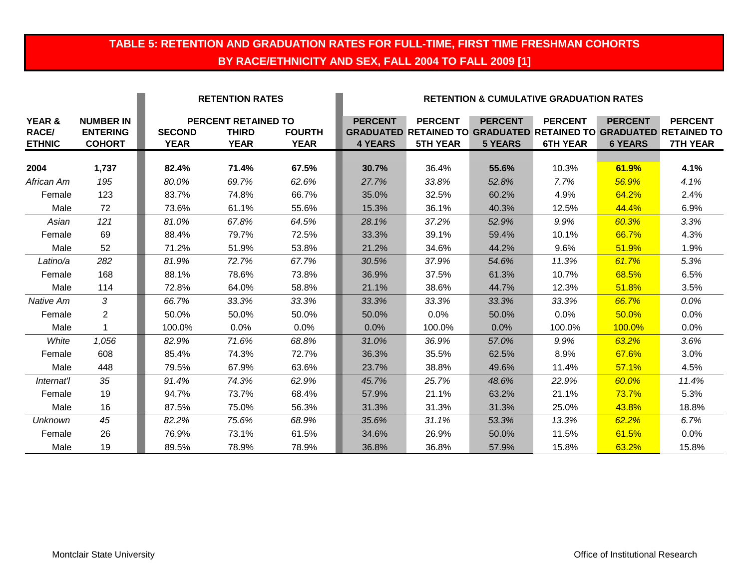# **TABLE 5: RETENTION AND GRADUATION RATES FOR FULL-TIME, FIRST TIME FRESHMAN COHORTS BY RACE/ETHNICITY AND SEX, FALL 2004 TO FALL 2009 [1]**

|                                         |                                                      |                              | <b>RETENTION RATES</b>                                    |                              | <b>RETENTION &amp; CUMULATIVE GRADUATION RATES</b> |                                                                                                               |                                  |                                   |                                  |                                   |  |
|-----------------------------------------|------------------------------------------------------|------------------------------|-----------------------------------------------------------|------------------------------|----------------------------------------------------|---------------------------------------------------------------------------------------------------------------|----------------------------------|-----------------------------------|----------------------------------|-----------------------------------|--|
| YEAR &<br><b>RACE/</b><br><b>ETHNIC</b> | <b>NUMBER IN</b><br><b>ENTERING</b><br><b>COHORT</b> | <b>SECOND</b><br><b>YEAR</b> | <b>PERCENT RETAINED TO</b><br><b>THIRD</b><br><b>YEAR</b> | <b>FOURTH</b><br><b>YEAR</b> | <b>PERCENT</b><br><b>4 YEARS</b>                   | <b>PERCENT</b><br><b>GRADUATED RETAINED TO GRADUATED RETAINED TO GRADUATED RETAINED TO</b><br><b>5TH YEAR</b> | <b>PERCENT</b><br><b>5 YEARS</b> | <b>PERCENT</b><br><b>6TH YEAR</b> | <b>PERCENT</b><br><b>6 YEARS</b> | <b>PERCENT</b><br><b>7TH YEAR</b> |  |
| 2004                                    | 1,737                                                | 82.4%                        | 71.4%                                                     | 67.5%                        | 30.7%                                              | 36.4%                                                                                                         | 55.6%                            | 10.3%                             | 61.9%                            | 4.1%                              |  |
| African Am                              | 195                                                  | 80.0%                        | 69.7%                                                     | 62.6%                        | 27.7%                                              | 33.8%                                                                                                         | 52.8%                            | 7.7%                              | 56.9%                            | 4.1%                              |  |
| Female                                  | 123                                                  | 83.7%                        | 74.8%                                                     | 66.7%                        | 35.0%                                              | 32.5%                                                                                                         | 60.2%                            | 4.9%                              | 64.2%                            | 2.4%                              |  |
| Male                                    | 72                                                   | 73.6%                        | 61.1%                                                     | 55.6%                        | 15.3%                                              | 36.1%                                                                                                         | 40.3%                            | 12.5%                             | 44.4%                            | 6.9%                              |  |
| Asian                                   | 121                                                  | 81.0%                        | 67.8%                                                     | 64.5%                        | 28.1%                                              | 37.2%                                                                                                         | 52.9%                            | 9.9%                              | 60.3%                            | 3.3%                              |  |
| Female                                  | 69                                                   | 88.4%                        | 79.7%                                                     | 72.5%                        | 33.3%                                              | 39.1%                                                                                                         | 59.4%                            | 10.1%                             | 66.7%                            | 4.3%                              |  |
| Male                                    | 52                                                   | 71.2%                        | 51.9%                                                     | 53.8%                        | 21.2%                                              | 34.6%                                                                                                         | 44.2%                            | 9.6%                              | 51.9%                            | 1.9%                              |  |
| Latino/a                                | 282                                                  | 81.9%                        | 72.7%                                                     | 67.7%                        | 30.5%                                              | 37.9%                                                                                                         | 54.6%                            | 11.3%                             | 61.7%                            | 5.3%                              |  |
| Female                                  | 168                                                  | 88.1%                        | 78.6%                                                     | 73.8%                        | 36.9%                                              | 37.5%                                                                                                         | 61.3%                            | 10.7%                             | 68.5%                            | 6.5%                              |  |
| Male                                    | 114                                                  | 72.8%                        | 64.0%                                                     | 58.8%                        | 21.1%                                              | 38.6%                                                                                                         | 44.7%                            | 12.3%                             | 51.8%                            | 3.5%                              |  |
| Native Am                               | $\mathcal{S}$                                        | 66.7%                        | 33.3%                                                     | 33.3%                        | 33.3%                                              | 33.3%                                                                                                         | 33.3%                            | 33.3%                             | 66.7%                            | $0.0\%$                           |  |
| Female                                  | $\overline{2}$                                       | 50.0%                        | 50.0%                                                     | 50.0%                        | 50.0%                                              | 0.0%                                                                                                          | 50.0%                            | 0.0%                              | 50.0%                            | 0.0%                              |  |
| Male                                    | $\mathbf{1}$                                         | 100.0%                       | 0.0%                                                      | 0.0%                         | 0.0%                                               | 100.0%                                                                                                        | 0.0%                             | 100.0%                            | <b>100.0%</b>                    | 0.0%                              |  |
| White                                   | 1,056                                                | 82.9%                        | 71.6%                                                     | 68.8%                        | 31.0%                                              | 36.9%                                                                                                         | 57.0%                            | 9.9%                              | 63.2%                            | 3.6%                              |  |
| Female                                  | 608                                                  | 85.4%                        | 74.3%                                                     | 72.7%                        | 36.3%                                              | 35.5%                                                                                                         | 62.5%                            | 8.9%                              | 67.6%                            | 3.0%                              |  |
| Male                                    | 448                                                  | 79.5%                        | 67.9%                                                     | 63.6%                        | 23.7%                                              | 38.8%                                                                                                         | 49.6%                            | 11.4%                             | 57.1%                            | 4.5%                              |  |
| Internat'l                              | 35                                                   | 91.4%                        | 74.3%                                                     | 62.9%                        | 45.7%                                              | 25.7%                                                                                                         | 48.6%                            | 22.9%                             | 60.0%                            | 11.4%                             |  |
| Female                                  | 19                                                   | 94.7%                        | 73.7%                                                     | 68.4%                        | 57.9%                                              | 21.1%                                                                                                         | 63.2%                            | 21.1%                             | 73.7%                            | 5.3%                              |  |
| Male                                    | 16                                                   | 87.5%                        | 75.0%                                                     | 56.3%                        | 31.3%                                              | 31.3%                                                                                                         | 31.3%                            | 25.0%                             | 43.8%                            | 18.8%                             |  |
| <b>Unknown</b>                          | 45                                                   | 82.2%                        | 75.6%                                                     | 68.9%                        | 35.6%                                              | 31.1%                                                                                                         | 53.3%                            | 13.3%                             | 62.2%                            | 6.7%                              |  |
| Female                                  | 26                                                   | 76.9%                        | 73.1%                                                     | 61.5%                        | 34.6%                                              | 26.9%                                                                                                         | 50.0%                            | 11.5%                             | 61.5%                            | 0.0%                              |  |
| Male                                    | 19                                                   | 89.5%                        | 78.9%                                                     | 78.9%                        | 36.8%                                              | 36.8%                                                                                                         | 57.9%                            | 15.8%                             | 63.2%                            | 15.8%                             |  |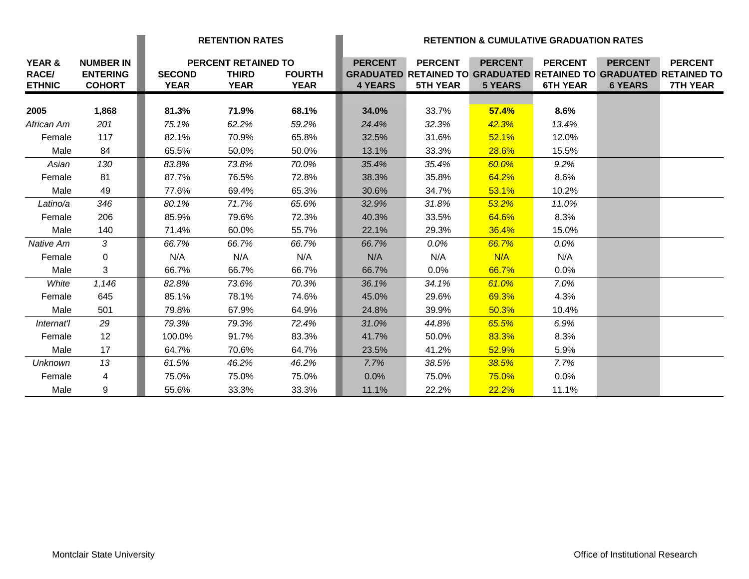|                                         |                                                      |                              | <b>RETENTION RATES</b>                                    |                              | <b>RETENTION &amp; CUMULATIVE GRADUATION RATES</b> |                                   |                                  |                                   |                                  |                                                                                                               |
|-----------------------------------------|------------------------------------------------------|------------------------------|-----------------------------------------------------------|------------------------------|----------------------------------------------------|-----------------------------------|----------------------------------|-----------------------------------|----------------------------------|---------------------------------------------------------------------------------------------------------------|
| YEAR &<br><b>RACE/</b><br><b>ETHNIC</b> | <b>NUMBER IN</b><br><b>ENTERING</b><br><b>COHORT</b> | <b>SECOND</b><br><b>YEAR</b> | <b>PERCENT RETAINED TO</b><br><b>THIRD</b><br><b>YEAR</b> | <b>FOURTH</b><br><b>YEAR</b> | <b>PERCENT</b><br><b>4 YEARS</b>                   | <b>PERCENT</b><br><b>5TH YEAR</b> | <b>PERCENT</b><br><b>5 YEARS</b> | <b>PERCENT</b><br><b>6TH YEAR</b> | <b>PERCENT</b><br><b>6 YEARS</b> | <b>PERCENT</b><br><b>GRADUATED RETAINED TO GRADUATED RETAINED TO GRADUATED RETAINED TO</b><br><b>7TH YEAR</b> |
| 2005                                    | 1,868                                                | 81.3%                        | 71.9%                                                     | 68.1%                        | 34.0%                                              | 33.7%                             | 57.4%                            | 8.6%                              |                                  |                                                                                                               |
| African Am                              | 201                                                  | 75.1%                        | 62.2%                                                     | 59.2%                        | 24.4%                                              | 32.3%                             | 42.3%                            | 13.4%                             |                                  |                                                                                                               |
| Female                                  | 117                                                  | 82.1%                        | 70.9%                                                     | 65.8%                        | 32.5%                                              | 31.6%                             | 52.1%                            | 12.0%                             |                                  |                                                                                                               |
| Male                                    | 84                                                   | 65.5%                        | 50.0%                                                     | 50.0%                        | 13.1%                                              | 33.3%                             | 28.6%                            | 15.5%                             |                                  |                                                                                                               |
| Asian                                   | 130                                                  | 83.8%                        | 73.8%                                                     | 70.0%                        | 35.4%                                              | 35.4%                             | 60.0%                            | 9.2%                              |                                  |                                                                                                               |
| Female                                  | 81                                                   | 87.7%                        | 76.5%                                                     | 72.8%                        | 38.3%                                              | 35.8%                             | 64.2%                            | 8.6%                              |                                  |                                                                                                               |
| Male                                    | 49                                                   | 77.6%                        | 69.4%                                                     | 65.3%                        | 30.6%                                              | 34.7%                             | 53.1%                            | 10.2%                             |                                  |                                                                                                               |
| Latino/a                                | 346                                                  | 80.1%                        | 71.7%                                                     | 65.6%                        | 32.9%                                              | 31.8%                             | 53.2%                            | 11.0%                             |                                  |                                                                                                               |
| Female                                  | 206                                                  | 85.9%                        | 79.6%                                                     | 72.3%                        | 40.3%                                              | 33.5%                             | 64.6%                            | 8.3%                              |                                  |                                                                                                               |
| Male                                    | 140                                                  | 71.4%                        | 60.0%                                                     | 55.7%                        | 22.1%                                              | 29.3%                             | 36.4%                            | 15.0%                             |                                  |                                                                                                               |
| Native Am                               | 3                                                    | 66.7%                        | 66.7%                                                     | 66.7%                        | 66.7%                                              | 0.0%                              | 66.7%                            | 0.0%                              |                                  |                                                                                                               |
| Female                                  | 0                                                    | N/A                          | N/A                                                       | N/A                          | N/A                                                | N/A                               | N/A                              | N/A                               |                                  |                                                                                                               |
| Male                                    | 3                                                    | 66.7%                        | 66.7%                                                     | 66.7%                        | 66.7%                                              | $0.0\%$                           | 66.7%                            | $0.0\%$                           |                                  |                                                                                                               |
| White                                   | 1,146                                                | 82.8%                        | 73.6%                                                     | 70.3%                        | 36.1%                                              | 34.1%                             | 61.0%                            | 7.0%                              |                                  |                                                                                                               |
| Female                                  | 645                                                  | 85.1%                        | 78.1%                                                     | 74.6%                        | 45.0%                                              | 29.6%                             | 69.3%                            | 4.3%                              |                                  |                                                                                                               |
| Male                                    | 501                                                  | 79.8%                        | 67.9%                                                     | 64.9%                        | 24.8%                                              | 39.9%                             | 50.3%                            | 10.4%                             |                                  |                                                                                                               |
| Internat'l                              | 29                                                   | 79.3%                        | 79.3%                                                     | 72.4%                        | 31.0%                                              | 44.8%                             | 65.5%                            | 6.9%                              |                                  |                                                                                                               |
| Female                                  | 12                                                   | 100.0%                       | 91.7%                                                     | 83.3%                        | 41.7%                                              | 50.0%                             | 83.3%                            | 8.3%                              |                                  |                                                                                                               |
| Male                                    | 17                                                   | 64.7%                        | 70.6%                                                     | 64.7%                        | 23.5%                                              | 41.2%                             | 52.9%                            | 5.9%                              |                                  |                                                                                                               |
| <b>Unknown</b>                          | 13                                                   | 61.5%                        | 46.2%                                                     | 46.2%                        | 7.7%                                               | 38.5%                             | 38.5%                            | 7.7%                              |                                  |                                                                                                               |
| Female                                  | 4                                                    | 75.0%                        | 75.0%                                                     | 75.0%                        | 0.0%                                               | 75.0%                             | 75.0%                            | 0.0%                              |                                  |                                                                                                               |
| Male                                    | 9                                                    | 55.6%                        | 33.3%                                                     | 33.3%                        | 11.1%                                              | 22.2%                             | 22.2%                            | 11.1%                             |                                  |                                                                                                               |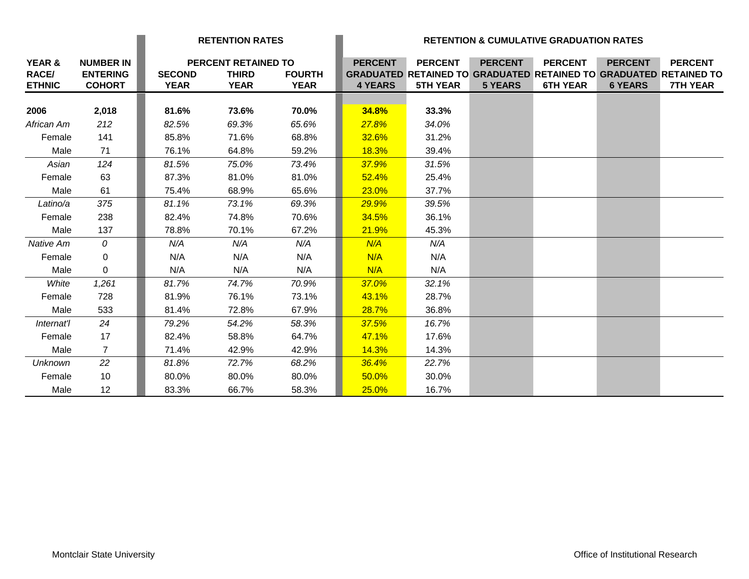|                                         |                                                      |                              | <b>RETENTION RATES</b>                                    |                              | <b>RETENTION &amp; CUMULATIVE GRADUATION RATES</b> |                                                                                                               |                                  |                                   |                                  |                                   |
|-----------------------------------------|------------------------------------------------------|------------------------------|-----------------------------------------------------------|------------------------------|----------------------------------------------------|---------------------------------------------------------------------------------------------------------------|----------------------------------|-----------------------------------|----------------------------------|-----------------------------------|
| YEAR &<br><b>RACE/</b><br><b>ETHNIC</b> | <b>NUMBER IN</b><br><b>ENTERING</b><br><b>COHORT</b> | <b>SECOND</b><br><b>YEAR</b> | <b>PERCENT RETAINED TO</b><br><b>THIRD</b><br><b>YEAR</b> | <b>FOURTH</b><br><b>YEAR</b> | <b>PERCENT</b><br><b>4 YEARS</b>                   | <b>PERCENT</b><br><b>GRADUATED RETAINED TO GRADUATED RETAINED TO GRADUATED RETAINED TO</b><br><b>5TH YEAR</b> | <b>PERCENT</b><br><b>5 YEARS</b> | <b>PERCENT</b><br><b>6TH YEAR</b> | <b>PERCENT</b><br><b>6 YEARS</b> | <b>PERCENT</b><br><b>7TH YEAR</b> |
| 2006                                    | 2,018                                                | 81.6%                        | 73.6%                                                     | 70.0%                        | 34.8%                                              | 33.3%                                                                                                         |                                  |                                   |                                  |                                   |
| African Am                              | 212                                                  | 82.5%                        | 69.3%                                                     | 65.6%                        | 27.8%                                              | 34.0%                                                                                                         |                                  |                                   |                                  |                                   |
| Female                                  | 141                                                  | 85.8%                        | 71.6%                                                     | 68.8%                        | 32.6%                                              | 31.2%                                                                                                         |                                  |                                   |                                  |                                   |
| Male                                    | 71                                                   | 76.1%                        | 64.8%                                                     | 59.2%                        | 18.3%                                              | 39.4%                                                                                                         |                                  |                                   |                                  |                                   |
| Asian                                   | 124                                                  | 81.5%                        | 75.0%                                                     | 73.4%                        | 37.9%                                              | 31.5%                                                                                                         |                                  |                                   |                                  |                                   |
| Female                                  | 63                                                   | 87.3%                        | 81.0%                                                     | 81.0%                        | 52.4%                                              | 25.4%                                                                                                         |                                  |                                   |                                  |                                   |
| Male                                    | 61                                                   | 75.4%                        | 68.9%                                                     | 65.6%                        | 23.0%                                              | 37.7%                                                                                                         |                                  |                                   |                                  |                                   |
| Latino/a                                | 375                                                  | 81.1%                        | 73.1%                                                     | 69.3%                        | 29.9%                                              | 39.5%                                                                                                         |                                  |                                   |                                  |                                   |
| Female                                  | 238                                                  | 82.4%                        | 74.8%                                                     | 70.6%                        | 34.5%                                              | 36.1%                                                                                                         |                                  |                                   |                                  |                                   |
| Male                                    | 137                                                  | 78.8%                        | 70.1%                                                     | 67.2%                        | 21.9%                                              | 45.3%                                                                                                         |                                  |                                   |                                  |                                   |
| Native Am                               | $\overline{0}$                                       | N/A                          | N/A                                                       | N/A                          | N/A                                                | N/A                                                                                                           |                                  |                                   |                                  |                                   |
| Female                                  | $\mathbf{0}$                                         | N/A                          | N/A                                                       | N/A                          | N/A                                                | N/A                                                                                                           |                                  |                                   |                                  |                                   |
| Male                                    | $\mathbf{0}$                                         | N/A                          | N/A                                                       | N/A                          | N/A                                                | N/A                                                                                                           |                                  |                                   |                                  |                                   |
| White                                   | 1,261                                                | 81.7%                        | 74.7%                                                     | 70.9%                        | 37.0%                                              | 32.1%                                                                                                         |                                  |                                   |                                  |                                   |
| Female                                  | 728                                                  | 81.9%                        | 76.1%                                                     | 73.1%                        | 43.1%                                              | 28.7%                                                                                                         |                                  |                                   |                                  |                                   |
| Male                                    | 533                                                  | 81.4%                        | 72.8%                                                     | 67.9%                        | 28.7%                                              | 36.8%                                                                                                         |                                  |                                   |                                  |                                   |
| Internat'l                              | 24                                                   | 79.2%                        | 54.2%                                                     | 58.3%                        | 37.5%                                              | 16.7%                                                                                                         |                                  |                                   |                                  |                                   |
| Female                                  | 17                                                   | 82.4%                        | 58.8%                                                     | 64.7%                        | 47.1%                                              | 17.6%                                                                                                         |                                  |                                   |                                  |                                   |
| Male                                    | 7                                                    | 71.4%                        | 42.9%                                                     | 42.9%                        | 14.3%                                              | 14.3%                                                                                                         |                                  |                                   |                                  |                                   |
| <b>Unknown</b>                          | 22                                                   | 81.8%                        | 72.7%                                                     | 68.2%                        | 36.4%                                              | 22.7%                                                                                                         |                                  |                                   |                                  |                                   |
| Female                                  | 10                                                   | 80.0%                        | 80.0%                                                     | 80.0%                        | 50.0%                                              | 30.0%                                                                                                         |                                  |                                   |                                  |                                   |
| Male                                    | 12 <sup>°</sup>                                      | 83.3%                        | 66.7%                                                     | 58.3%                        | 25.0%                                              | 16.7%                                                                                                         |                                  |                                   |                                  |                                   |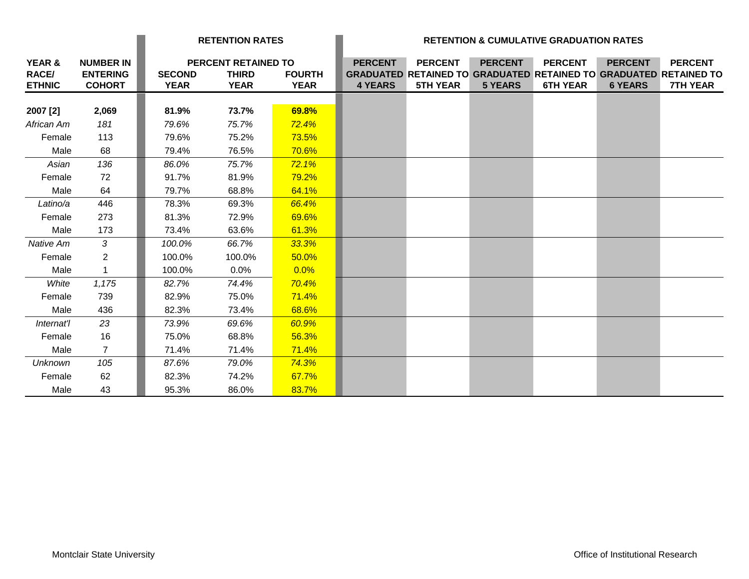|                                         |                                                      | <b>RETENTION RATES</b>       |                                                           |                              | <b>RETENTION &amp; CUMULATIVE GRADUATION RATES</b> |                                   |                                  |                                                                                                               |                                  |                                   |
|-----------------------------------------|------------------------------------------------------|------------------------------|-----------------------------------------------------------|------------------------------|----------------------------------------------------|-----------------------------------|----------------------------------|---------------------------------------------------------------------------------------------------------------|----------------------------------|-----------------------------------|
| YEAR &<br><b>RACE/</b><br><b>ETHNIC</b> | <b>NUMBER IN</b><br><b>ENTERING</b><br><b>COHORT</b> | <b>SECOND</b><br><b>YEAR</b> | <b>PERCENT RETAINED TO</b><br><b>THIRD</b><br><b>YEAR</b> | <b>FOURTH</b><br><b>YEAR</b> | <b>PERCENT</b><br><b>4 YEARS</b>                   | <b>PERCENT</b><br><b>5TH YEAR</b> | <b>PERCENT</b><br><b>5 YEARS</b> | <b>PERCENT</b><br><b>GRADUATED RETAINED TO GRADUATED RETAINED TO GRADUATED RETAINED TO</b><br><b>6TH YEAR</b> | <b>PERCENT</b><br><b>6 YEARS</b> | <b>PERCENT</b><br><b>7TH YEAR</b> |
|                                         |                                                      |                              |                                                           |                              |                                                    |                                   |                                  |                                                                                                               |                                  |                                   |
| 2007 [2]                                | 2,069                                                | 81.9%                        | 73.7%                                                     | 69.8%                        |                                                    |                                   |                                  |                                                                                                               |                                  |                                   |
| African Am                              | 181                                                  | 79.6%                        | 75.7%                                                     | 72.4%                        |                                                    |                                   |                                  |                                                                                                               |                                  |                                   |
| Female                                  | 113                                                  | 79.6%                        | 75.2%                                                     | 73.5%                        |                                                    |                                   |                                  |                                                                                                               |                                  |                                   |
| Male                                    | 68                                                   | 79.4%                        | 76.5%                                                     | 70.6%                        |                                                    |                                   |                                  |                                                                                                               |                                  |                                   |
| Asian                                   | 136                                                  | 86.0%                        | 75.7%                                                     | 72.1%                        |                                                    |                                   |                                  |                                                                                                               |                                  |                                   |
| Female                                  | 72                                                   | 91.7%                        | 81.9%                                                     | 79.2%                        |                                                    |                                   |                                  |                                                                                                               |                                  |                                   |
| Male                                    | 64                                                   | 79.7%                        | 68.8%                                                     | 64.1%                        |                                                    |                                   |                                  |                                                                                                               |                                  |                                   |
| Latino/a                                | 446                                                  | 78.3%                        | 69.3%                                                     | 66.4%                        |                                                    |                                   |                                  |                                                                                                               |                                  |                                   |
| Female                                  | 273                                                  | 81.3%                        | 72.9%                                                     | 69.6%                        |                                                    |                                   |                                  |                                                                                                               |                                  |                                   |
| Male                                    | 173                                                  | 73.4%                        | 63.6%                                                     | 61.3%                        |                                                    |                                   |                                  |                                                                                                               |                                  |                                   |
| Native Am                               | 3                                                    | 100.0%                       | 66.7%                                                     | 33.3%                        |                                                    |                                   |                                  |                                                                                                               |                                  |                                   |
| Female                                  | $\overline{2}$                                       | 100.0%                       | 100.0%                                                    | 50.0%                        |                                                    |                                   |                                  |                                                                                                               |                                  |                                   |
| Male                                    | 1                                                    | 100.0%                       | 0.0%                                                      | 0.0%                         |                                                    |                                   |                                  |                                                                                                               |                                  |                                   |
| White                                   | 1,175                                                | 82.7%                        | 74.4%                                                     | 70.4%                        |                                                    |                                   |                                  |                                                                                                               |                                  |                                   |
| Female                                  | 739                                                  | 82.9%                        | 75.0%                                                     | 71.4%                        |                                                    |                                   |                                  |                                                                                                               |                                  |                                   |
| Male                                    | 436                                                  | 82.3%                        | 73.4%                                                     | 68.6%                        |                                                    |                                   |                                  |                                                                                                               |                                  |                                   |
| Internat'l                              | 23                                                   | 73.9%                        | 69.6%                                                     | 60.9%                        |                                                    |                                   |                                  |                                                                                                               |                                  |                                   |
| Female                                  | 16                                                   | 75.0%                        | 68.8%                                                     | 56.3%                        |                                                    |                                   |                                  |                                                                                                               |                                  |                                   |
| Male                                    | $\mathbf{7}$                                         | 71.4%                        | 71.4%                                                     | 71.4%                        |                                                    |                                   |                                  |                                                                                                               |                                  |                                   |
| Unknown                                 | 105                                                  | 87.6%                        | 79.0%                                                     | 74.3%                        |                                                    |                                   |                                  |                                                                                                               |                                  |                                   |
| Female                                  | 62                                                   | 82.3%                        | 74.2%                                                     | 67.7%                        |                                                    |                                   |                                  |                                                                                                               |                                  |                                   |
| Male                                    | 43                                                   | 95.3%                        | 86.0%                                                     | 83.7%                        |                                                    |                                   |                                  |                                                                                                               |                                  |                                   |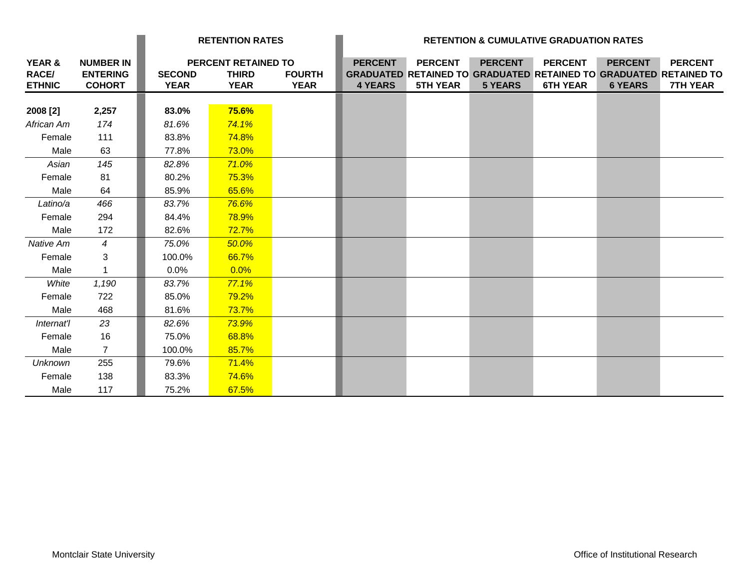|                                                    |                                                      | <b>RETENTION RATES</b>       |                                                    |                              | <b>RETENTION &amp; CUMULATIVE GRADUATION RATES</b> |                                   |                                  |                                   |                                  |                                                                                                               |
|----------------------------------------------------|------------------------------------------------------|------------------------------|----------------------------------------------------|------------------------------|----------------------------------------------------|-----------------------------------|----------------------------------|-----------------------------------|----------------------------------|---------------------------------------------------------------------------------------------------------------|
| <b>YEAR &amp;</b><br><b>RACE/</b><br><b>ETHNIC</b> | <b>NUMBER IN</b><br><b>ENTERING</b><br><b>COHORT</b> | <b>SECOND</b><br><b>YEAR</b> | PERCENT RETAINED TO<br><b>THIRD</b><br><b>YEAR</b> | <b>FOURTH</b><br><b>YEAR</b> | <b>PERCENT</b><br><b>4 YEARS</b>                   | <b>PERCENT</b><br><b>5TH YEAR</b> | <b>PERCENT</b><br><b>5 YEARS</b> | <b>PERCENT</b><br><b>6TH YEAR</b> | <b>PERCENT</b><br><b>6 YEARS</b> | <b>PERCENT</b><br><b>GRADUATED RETAINED TO GRADUATED RETAINED TO GRADUATED RETAINED TO</b><br><b>7TH YEAR</b> |
| 2008 [2]                                           | 2,257                                                | 83.0%                        | 75.6%                                              |                              |                                                    |                                   |                                  |                                   |                                  |                                                                                                               |
| African Am                                         | 174                                                  | 81.6%                        | 74.1%                                              |                              |                                                    |                                   |                                  |                                   |                                  |                                                                                                               |
| Female                                             | 111                                                  | 83.8%                        | 74.8%                                              |                              |                                                    |                                   |                                  |                                   |                                  |                                                                                                               |
| Male                                               | 63                                                   | 77.8%                        | 73.0%                                              |                              |                                                    |                                   |                                  |                                   |                                  |                                                                                                               |
| Asian                                              | 145                                                  | 82.8%                        | 71.0%                                              |                              |                                                    |                                   |                                  |                                   |                                  |                                                                                                               |
| Female                                             | 81                                                   | 80.2%                        | 75.3%                                              |                              |                                                    |                                   |                                  |                                   |                                  |                                                                                                               |
| Male                                               | 64                                                   | 85.9%                        | 65.6%                                              |                              |                                                    |                                   |                                  |                                   |                                  |                                                                                                               |
| Latino/a                                           | 466                                                  | 83.7%                        | 76.6%                                              |                              |                                                    |                                   |                                  |                                   |                                  |                                                                                                               |
| Female                                             | 294                                                  | 84.4%                        | 78.9%                                              |                              |                                                    |                                   |                                  |                                   |                                  |                                                                                                               |
| Male                                               | 172                                                  | 82.6%                        | 72.7%                                              |                              |                                                    |                                   |                                  |                                   |                                  |                                                                                                               |
| Native Am                                          | $\overline{4}$                                       | 75.0%                        | 50.0%                                              |                              |                                                    |                                   |                                  |                                   |                                  |                                                                                                               |
| Female                                             | 3                                                    | 100.0%                       | 66.7%                                              |                              |                                                    |                                   |                                  |                                   |                                  |                                                                                                               |
| Male                                               | 1                                                    | 0.0%                         | 0.0%                                               |                              |                                                    |                                   |                                  |                                   |                                  |                                                                                                               |
| White                                              | 1,190                                                | 83.7%                        | 77.1%                                              |                              |                                                    |                                   |                                  |                                   |                                  |                                                                                                               |
| Female                                             | 722                                                  | 85.0%                        | 79.2%                                              |                              |                                                    |                                   |                                  |                                   |                                  |                                                                                                               |
| Male                                               | 468                                                  | 81.6%                        | 73.7%                                              |                              |                                                    |                                   |                                  |                                   |                                  |                                                                                                               |
| Internat'l                                         | 23                                                   | 82.6%                        | 73.9%                                              |                              |                                                    |                                   |                                  |                                   |                                  |                                                                                                               |
| Female                                             | 16                                                   | 75.0%                        | 68.8%                                              |                              |                                                    |                                   |                                  |                                   |                                  |                                                                                                               |
| Male                                               | $\mathbf{7}$                                         | 100.0%                       | 85.7%                                              |                              |                                                    |                                   |                                  |                                   |                                  |                                                                                                               |
| <b>Unknown</b>                                     | 255                                                  | 79.6%                        | 71.4%                                              |                              |                                                    |                                   |                                  |                                   |                                  |                                                                                                               |
| Female                                             | 138                                                  | 83.3%                        | 74.6%                                              |                              |                                                    |                                   |                                  |                                   |                                  |                                                                                                               |
| Male                                               | 117                                                  | 75.2%                        | 67.5%                                              |                              |                                                    |                                   |                                  |                                   |                                  |                                                                                                               |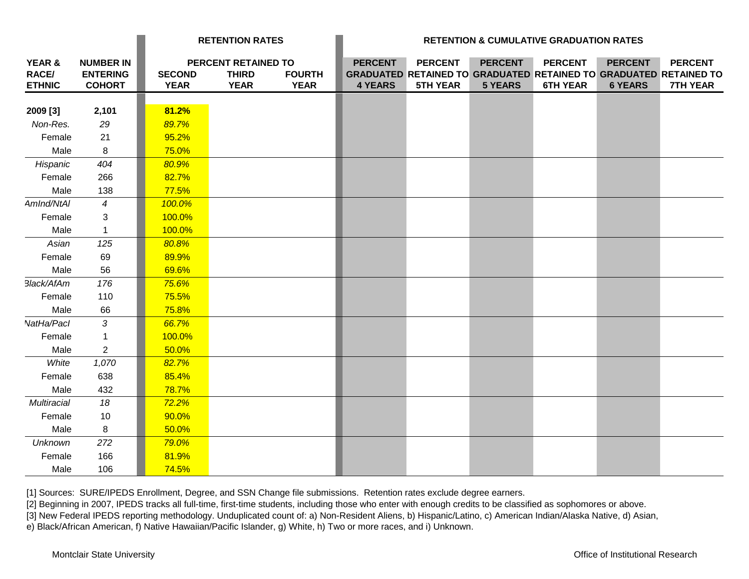|                                  |                                                      |                              | <b>RETENTION RATES</b>                             |                              |                                  | <b>RETENTION &amp; CUMULATIVE GRADUATION RATES</b>                                                            |                                  |                                   |                                  |                                   |  |
|----------------------------------|------------------------------------------------------|------------------------------|----------------------------------------------------|------------------------------|----------------------------------|---------------------------------------------------------------------------------------------------------------|----------------------------------|-----------------------------------|----------------------------------|-----------------------------------|--|
| YEAR &<br>RACE/<br><b>ETHNIC</b> | <b>NUMBER IN</b><br><b>ENTERING</b><br><b>COHORT</b> | <b>SECOND</b><br><b>YEAR</b> | PERCENT RETAINED TO<br><b>THIRD</b><br><b>YEAR</b> | <b>FOURTH</b><br><b>YEAR</b> | <b>PERCENT</b><br><b>4 YEARS</b> | <b>PERCENT</b><br><b>GRADUATED RETAINED TO GRADUATED RETAINED TO GRADUATED RETAINED TO</b><br><b>5TH YEAR</b> | <b>PERCENT</b><br><b>5 YEARS</b> | <b>PERCENT</b><br><b>6TH YEAR</b> | <b>PERCENT</b><br><b>6 YEARS</b> | <b>PERCENT</b><br><b>7TH YEAR</b> |  |
| 2009 [3]                         | 2,101                                                | 81.2%                        |                                                    |                              |                                  |                                                                                                               |                                  |                                   |                                  |                                   |  |
| Non-Res.                         | 29                                                   | 89.7%                        |                                                    |                              |                                  |                                                                                                               |                                  |                                   |                                  |                                   |  |
| Female                           | 21                                                   | 95.2%                        |                                                    |                              |                                  |                                                                                                               |                                  |                                   |                                  |                                   |  |
| Male                             | 8                                                    | 75.0%                        |                                                    |                              |                                  |                                                                                                               |                                  |                                   |                                  |                                   |  |
| Hispanic                         | 404                                                  | 80.9%                        |                                                    |                              |                                  |                                                                                                               |                                  |                                   |                                  |                                   |  |
| Female                           | 266                                                  | 82.7%                        |                                                    |                              |                                  |                                                                                                               |                                  |                                   |                                  |                                   |  |
| Male                             | 138                                                  | 77.5%                        |                                                    |                              |                                  |                                                                                                               |                                  |                                   |                                  |                                   |  |
| AmInd/NtAI                       | $\overline{4}$                                       | 100.0%                       |                                                    |                              |                                  |                                                                                                               |                                  |                                   |                                  |                                   |  |
| Female                           | 3                                                    | 100.0%                       |                                                    |                              |                                  |                                                                                                               |                                  |                                   |                                  |                                   |  |
| Male                             | $\mathbf{1}$                                         | 100.0%                       |                                                    |                              |                                  |                                                                                                               |                                  |                                   |                                  |                                   |  |
| Asian                            | 125                                                  | 80.8%                        |                                                    |                              |                                  |                                                                                                               |                                  |                                   |                                  |                                   |  |
| Female                           | 69                                                   | 89.9%                        |                                                    |                              |                                  |                                                                                                               |                                  |                                   |                                  |                                   |  |
| Male                             | 56                                                   | 69.6%                        |                                                    |                              |                                  |                                                                                                               |                                  |                                   |                                  |                                   |  |
| Black/AfAm                       | 176                                                  | 75.6%                        |                                                    |                              |                                  |                                                                                                               |                                  |                                   |                                  |                                   |  |
| Female                           | 110                                                  | 75.5%                        |                                                    |                              |                                  |                                                                                                               |                                  |                                   |                                  |                                   |  |
| Male                             | 66                                                   | 75.8%                        |                                                    |                              |                                  |                                                                                                               |                                  |                                   |                                  |                                   |  |
| NatHa/Pacl                       | 3                                                    | 66.7%                        |                                                    |                              |                                  |                                                                                                               |                                  |                                   |                                  |                                   |  |
| Female                           | $\mathbf{1}$                                         | 100.0%                       |                                                    |                              |                                  |                                                                                                               |                                  |                                   |                                  |                                   |  |
| Male                             | $\overline{2}$                                       | 50.0%                        |                                                    |                              |                                  |                                                                                                               |                                  |                                   |                                  |                                   |  |
| White                            | 1,070                                                | 82.7%                        |                                                    |                              |                                  |                                                                                                               |                                  |                                   |                                  |                                   |  |
| Female                           | 638                                                  | 85.4%                        |                                                    |                              |                                  |                                                                                                               |                                  |                                   |                                  |                                   |  |
| Male                             | 432                                                  | 78.7%                        |                                                    |                              |                                  |                                                                                                               |                                  |                                   |                                  |                                   |  |
| Multiracial                      | 18                                                   | 72.2%                        |                                                    |                              |                                  |                                                                                                               |                                  |                                   |                                  |                                   |  |
| Female                           | 10                                                   | 90.0%                        |                                                    |                              |                                  |                                                                                                               |                                  |                                   |                                  |                                   |  |
| Male                             | 8                                                    | 50.0%                        |                                                    |                              |                                  |                                                                                                               |                                  |                                   |                                  |                                   |  |
| <b>Unknown</b>                   | 272                                                  | 79.0%                        |                                                    |                              |                                  |                                                                                                               |                                  |                                   |                                  |                                   |  |
| Female                           | 166                                                  | 81.9%                        |                                                    |                              |                                  |                                                                                                               |                                  |                                   |                                  |                                   |  |
| Male                             | 106                                                  | 74.5%                        |                                                    |                              |                                  |                                                                                                               |                                  |                                   |                                  |                                   |  |

[1] Sources: SURE/IPEDS Enrollment, Degree, and SSN Change file submissions. Retention rates exclude degree earners.

[2] Beginning in 2007, IPEDS tracks all full-time, first-time students, including those who enter with enough credits to be classified as sophomores or above.

[3] New Federal IPEDS reporting methodology. Unduplicated count of: a) Non-Resident Aliens, b) Hispanic/Latino, c) American Indian/Alaska Native, d) Asian,

e) Black/African American, f) Native Hawaiian/Pacific Islander, g) White, h) Two or more races, and i) Unknown.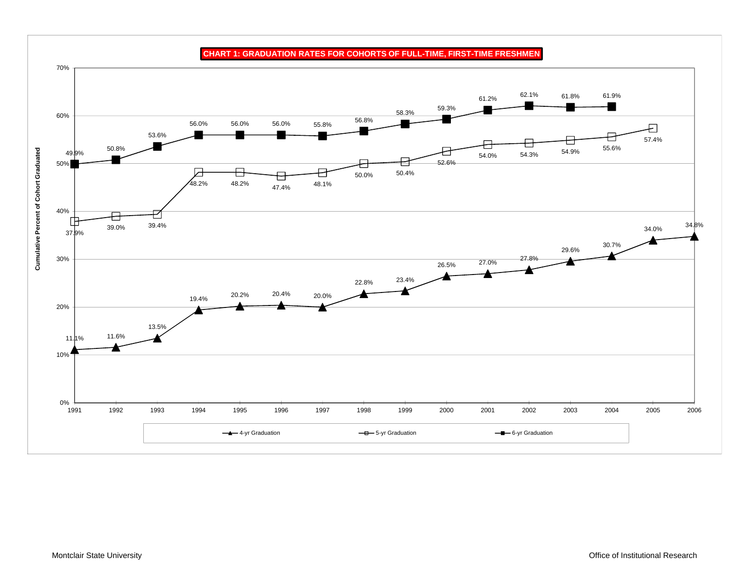

**CHART 1: GRADUATION RATES FOR COHORTS OF FULL-TIME, FIRST-TIME FRESHMEN**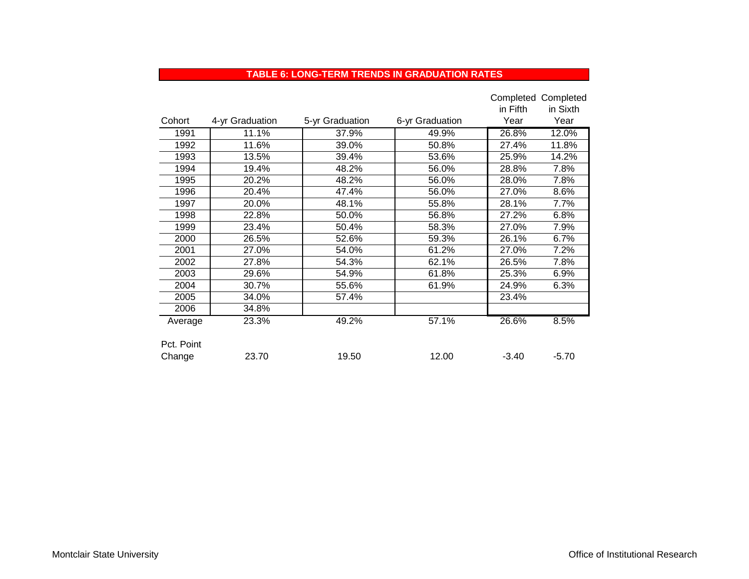#### **TABLE 6: LONG-TERM TRENDS IN GRADUATION RATES**

|            |                 |                 |                 |          | Completed Completed |
|------------|-----------------|-----------------|-----------------|----------|---------------------|
|            |                 |                 |                 | in Fifth | in Sixth            |
| Cohort     | 4-yr Graduation | 5-yr Graduation | 6-yr Graduation | Year     | Year                |
| 1991       | 11.1%           | 37.9%           | 49.9%           | 26.8%    | 12.0%               |
| 1992       | 11.6%           | 39.0%           | 50.8%           | 27.4%    | 11.8%               |
| 1993       | 13.5%           | 39.4%           | 53.6%           | 25.9%    | 14.2%               |
| 1994       | 19.4%           | 48.2%           | 56.0%           | 28.8%    | 7.8%                |
| 1995       | 20.2%           | 48.2%           | 56.0%           | 28.0%    | 7.8%                |
| 1996       | 20.4%           | 47.4%           | 56.0%           | 27.0%    | 8.6%                |
| 1997       | 20.0%           | 48.1%           | 55.8%           | 28.1%    | 7.7%                |
| 1998       | 22.8%           | 50.0%           | 56.8%           | 27.2%    | 6.8%                |
| 1999       | 23.4%           | 50.4%           | 58.3%           | 27.0%    | 7.9%                |
| 2000       | 26.5%           | 52.6%           | 59.3%           | 26.1%    | 6.7%                |
| 2001       | 27.0%           | 54.0%           | 61.2%           | 27.0%    | 7.2%                |
| 2002       | 27.8%           | 54.3%           | 62.1%           | 26.5%    | 7.8%                |
| 2003       | 29.6%           | 54.9%           | 61.8%           | 25.3%    | 6.9%                |
| 2004       | 30.7%           | 55.6%           | 61.9%           | 24.9%    | 6.3%                |
| 2005       | 34.0%           | 57.4%           |                 | 23.4%    |                     |
| 2006       | 34.8%           |                 |                 |          |                     |
| Average    | 23.3%           | 49.2%           | 57.1%           | 26.6%    | 8.5%                |
|            |                 |                 |                 |          |                     |
| Pct. Point |                 |                 |                 |          |                     |
| Change     | 23.70           | 19.50           | 12.00           | $-3.40$  | $-5.70$             |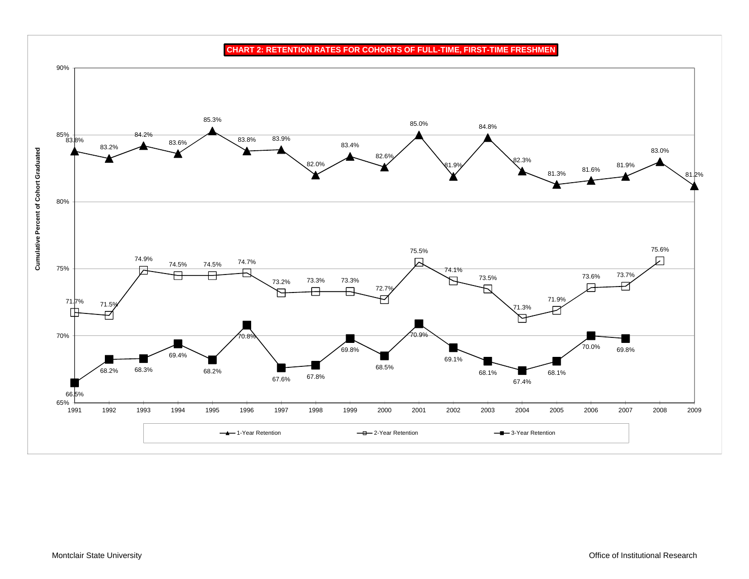**CHART 2: RETENTION RATES FOR COHORTS OF FULL-TIME, FIRST-TIME FRESHMEN**

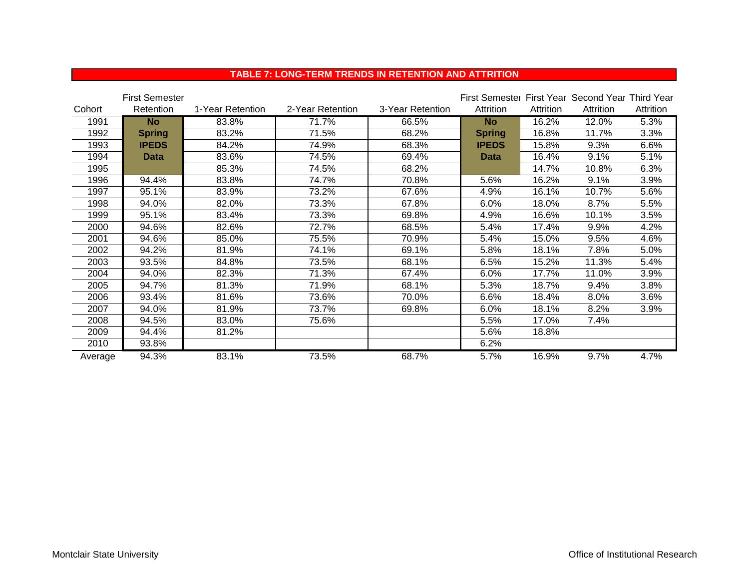#### **TABLE 7: LONG-TERM TRENDS IN RETENTION AND ATTRITION**

|         | <b>First Semester</b> |                  |                  |                  | First Semester First Year Second Year Third Year |           |           |           |
|---------|-----------------------|------------------|------------------|------------------|--------------------------------------------------|-----------|-----------|-----------|
| Cohort  | Retention             | 1-Year Retention | 2-Year Retention | 3-Year Retention | Attrition                                        | Attrition | Attrition | Attrition |
| 1991    | <b>No</b>             | 83.8%            | 71.7%            | 66.5%            | <b>No</b>                                        | 16.2%     | 12.0%     | 5.3%      |
| 1992    | <b>Spring</b>         | 83.2%            | 71.5%            | 68.2%            | <b>Spring</b>                                    | 16.8%     | 11.7%     | 3.3%      |
| 1993    | <b>IPEDS</b>          | 84.2%            | 74.9%            | 68.3%            | <b>IPEDS</b>                                     | 15.8%     | 9.3%      | 6.6%      |
| 1994    | Data                  | 83.6%            | 74.5%            | 69.4%            | <b>Data</b>                                      | 16.4%     | 9.1%      | 5.1%      |
| 1995    |                       | 85.3%            | 74.5%            | 68.2%            |                                                  | 14.7%     | 10.8%     | 6.3%      |
| 1996    | 94.4%                 | 83.8%            | 74.7%            | 70.8%            | 5.6%                                             | 16.2%     | 9.1%      | 3.9%      |
| 1997    | 95.1%                 | 83.9%            | 73.2%            | 67.6%            | 4.9%                                             | 16.1%     | 10.7%     | 5.6%      |
| 1998    | 94.0%                 | 82.0%            | 73.3%            | 67.8%            | 6.0%                                             | 18.0%     | 8.7%      | 5.5%      |
| 1999    | 95.1%                 | 83.4%            | 73.3%            | 69.8%            | 4.9%                                             | 16.6%     | 10.1%     | 3.5%      |
| 2000    | 94.6%                 | 82.6%            | 72.7%            | 68.5%            | 5.4%                                             | 17.4%     | 9.9%      | 4.2%      |
| 2001    | 94.6%                 | 85.0%            | 75.5%            | 70.9%            | 5.4%                                             | 15.0%     | 9.5%      | 4.6%      |
| 2002    | 94.2%                 | 81.9%            | 74.1%            | 69.1%            | 5.8%                                             | 18.1%     | 7.8%      | 5.0%      |
| 2003    | 93.5%                 | 84.8%            | 73.5%            | 68.1%            | 6.5%                                             | 15.2%     | 11.3%     | 5.4%      |
| 2004    | 94.0%                 | 82.3%            | 71.3%            | 67.4%            | 6.0%                                             | 17.7%     | 11.0%     | 3.9%      |
| 2005    | 94.7%                 | 81.3%            | 71.9%            | 68.1%            | 5.3%                                             | 18.7%     | 9.4%      | 3.8%      |
| 2006    | 93.4%                 | 81.6%            | 73.6%            | 70.0%            | 6.6%                                             | 18.4%     | 8.0%      | 3.6%      |
| 2007    | 94.0%                 | 81.9%            | 73.7%            | 69.8%            | 6.0%                                             | 18.1%     | 8.2%      | 3.9%      |
| 2008    | 94.5%                 | 83.0%            | 75.6%            |                  | 5.5%                                             | 17.0%     | 7.4%      |           |
| 2009    | 94.4%                 | 81.2%            |                  |                  | 5.6%                                             | 18.8%     |           |           |
| 2010    | 93.8%                 |                  |                  |                  | 6.2%                                             |           |           |           |
| Average | 94.3%                 | 83.1%            | 73.5%            | 68.7%            | 5.7%                                             | 16.9%     | 9.7%      | 4.7%      |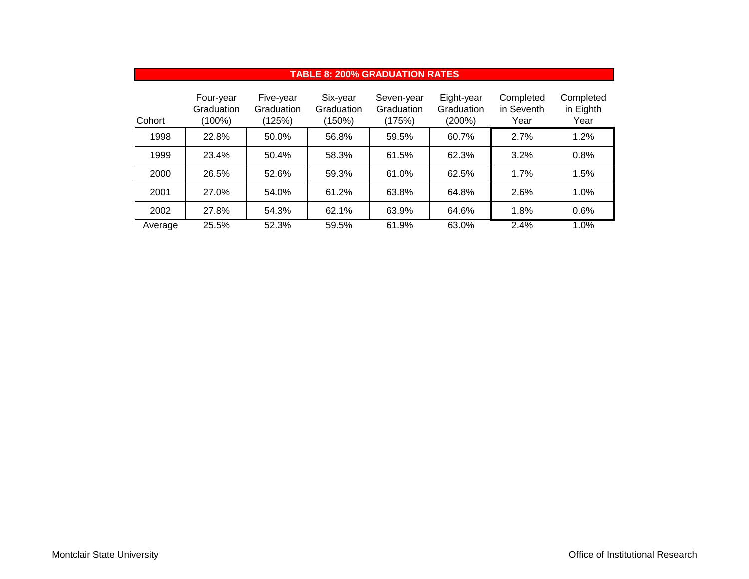| <b>TABLE 8: 200% GRADUATION RATES</b> |                                   |                                   |                                  |                                    |                                    |                                 |                                |  |  |
|---------------------------------------|-----------------------------------|-----------------------------------|----------------------------------|------------------------------------|------------------------------------|---------------------------------|--------------------------------|--|--|
| Cohort                                | Four-year<br>Graduation<br>(100%) | Five-year<br>Graduation<br>(125%) | Six-year<br>Graduation<br>(150%) | Seven-year<br>Graduation<br>(175%) | Eight-year<br>Graduation<br>(200%) | Completed<br>in Seventh<br>Year | Completed<br>in Eighth<br>Year |  |  |
| 1998                                  | 22.8%                             | 50.0%                             | 56.8%                            | 59.5%                              | 60.7%                              | 2.7%                            | 1.2%                           |  |  |
| 1999                                  | 23.4%                             | 50.4%                             | 58.3%                            | 61.5%                              | 62.3%                              | 3.2%                            | 0.8%                           |  |  |
| 2000                                  | 26.5%                             | 52.6%                             | 59.3%                            | 61.0%                              | 62.5%                              | 1.7%                            | 1.5%                           |  |  |
| 2001                                  | 27.0%                             | 54.0%                             | 61.2%                            | 63.8%                              | 64.8%                              | 2.6%                            | 1.0%                           |  |  |
| 2002                                  | 27.8%                             | 54.3%                             | 62.1%                            | 63.9%                              | 64.6%                              | 1.8%                            | 0.6%                           |  |  |
| Average                               | 25.5%                             | 52.3%                             | 59.5%                            | 61.9%                              | 63.0%                              | 2.4%                            | 1.0%                           |  |  |